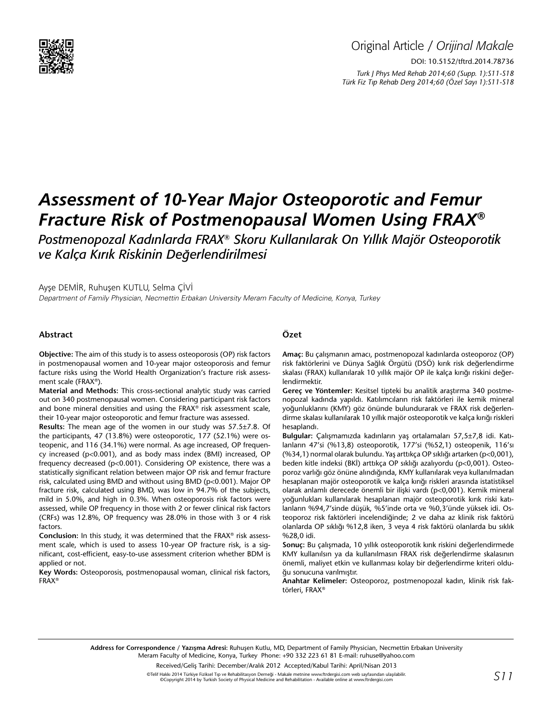

# *Assessment of 10-Year Major Osteoporotic and Femur Fracture Risk of Postmenopausal Women Using FRAX®*

*Postmenopozal Kadınlarda FRAX® Skoru Kullanılarak On Yıllık Majör Osteoporotik ve Kalça Kırık Riskinin Değerlendirilmesi*

Ayşe DEMİR, Ruhuşen KUTLU, Selma ÇİVİ

Department of Family Physician, Necmettin Erbakan University Meram Faculty of Medicine, Konya, Turkey

#### **Abstract**

**Objective:** The aim of this study is to assess osteoporosis (OP) risk factors in postmenopausal women and 10-year major osteoporosis and femur facture risks using the World Health Organization's fracture risk assessment scale (FRAX®).

**Material and Methods:** This cross-sectional analytic study was carried out on 340 postmenopausal women. Considering participant risk factors and bone mineral densities and using the FRAX® risk assessment scale, their 10-year major osteoporotic and femur fracture was assessed.

**Results:** The mean age of the women in our study was 57.5±7.8. Of the participants, 47 (13.8%) were osteoporotic, 177 (52.1%) were osteopenic, and 116 (34.1%) were normal. As age increased, OP frequency increased (p<0.001), and as body mass index (BMI) increased, OP frequency decreased (p<0.001). Considering OP existence, there was a statistically significant relation between major OP risk and femur fracture risk, calculated using BMD and without using BMD (p<0.001). Major OP fracture risk, calculated using BMD, was low in 94.7% of the subjects, mild in 5.0%, and high in 0.3%. When osteoporosis risk factors were assessed, while OP frequency in those with 2 or fewer clinical risk factors (CRFs) was 12.8%, OP frequency was 28.0% in those with 3 or 4 risk factors.

**Conclusion:** In this study, it was determined that the FRAX® risk assessment scale, which is used to assess 10-year OP fracture risk, is a significant, cost-efficient, easy-to-use assessment criterion whether BDM is applied or not.

**Key Words:** Osteoporosis, postmenopausal woman, clinical risk factors, FRAX®

# **Özet**

**Amaç:** Bu çalışmanın amacı, postmenopozal kadınlarda osteoporoz (OP) risk faktörlerini ve Dünya Sağlık Örgütü (DSÖ) kırık risk değerlendirme skalası (FRAX) kullanılarak 10 yıllık majör OP ile kalça kırığı riskini değerlendirmektir.

**Gereç ve Yöntemler:** Kesitsel tipteki bu analitik araştırma 340 postmenopozal kadında yapıldı. Katılımcıların risk faktörleri ile kemik mineral yoğunluklarını (KMY) göz önünde bulundurarak ve FRAX risk değerlendirme skalası kullanılarak 10 yıllık majör osteoporotik ve kalça kırığı riskleri hesaplandı.

**Bulgular:** Çalışmamızda kadınların yaş ortalamaları 57,5±7,8 idi. Katılanların 47'si (%13,8) osteoporotik, 177'si (%52,1) osteopenik, 116'sı (%34,1) normal olarak bulundu. Yaş arttıkça OP sıklığı artarken (p<0,001), beden kitle indeksi (BKİ) arttıkça OP sıklığı azalıyordu (p<0,001). Osteoporoz varlığı göz önüne alındığında, KMY kullanılarak veya kullanılmadan hesaplanan majör osteoporotik ve kalça kırığı riskleri arasında istatistiksel olarak anlamlı derecede önemli bir ilişki vardı (p<0,001). Kemik mineral yoğunlukları kullanılarak hesaplanan majör osteoporotik kırık riski katılanların %94,7'sinde düşük, %5'inde orta ve %0,3'ünde yüksek idi. Osteoporoz risk faktörleri incelendiğinde; 2 ve daha az klinik risk faktörü olanlarda OP sıklığı %12,8 iken, 3 veya 4 risk faktörü olanlarda bu sıklık %28,0 idi.

**Sonuç:** Bu çalışmada, 10 yıllık osteoporotik kırık riskini değerlendirmede KMY kullanılsın ya da kullanılmasın FRAX risk değerlendirme skalasının önemli, maliyet etkin ve kullanması kolay bir değerlendirme kriteri olduğu sonucuna varılmıştır.

**Anahtar Kelimeler:** Osteoporoz, postmenopozal kadın, klinik risk faktörleri, FRAX®

**Address for Correspondence / Yazışma Adresi:** Ruhuşen Kutlu, MD, Department of Family Physician, Necmettin Erbakan University Meram Faculty of Medicine, Konya, Turkey Phone: +90 332 223 61 81 E-mail: ruhuse@yahoo.com

Received/Geliş Tarihi: December/Aralık 2012 Accepted/Kabul Tarihi: April/Nisan 2013

©Telif Hakkı 2014 Türkiye Fiziksel Tıp ve Rehabilitasyon Derneği - Makale metnine www.ftrdergisi.com web sayfasından ulaşılabilir. ©Copyright 2014 by Turkish Society of Physical Medicine and Rehabilitation - Available online at www.ftrdergisi.com *S11*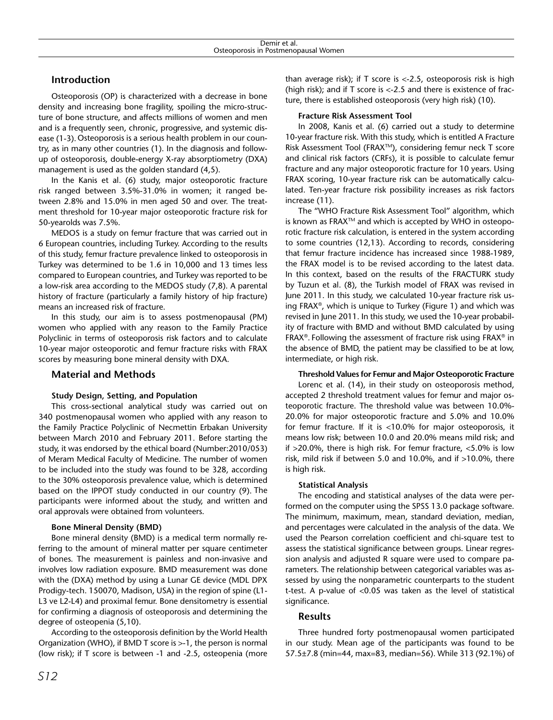# **Introduction**

Osteoporosis (OP) is characterized with a decrease in bone density and increasing bone fragility, spoiling the micro-structure of bone structure, and affects millions of women and men and is a frequently seen, chronic, progressive, and systemic disease (1-3).Osteoporosis is a serious health problem in our country, as in many other countries (1). In the diagnosis and followup of osteoporosis, double-energy X-ray absorptiometry (DXA) management is used as the golden standard (4,5).

In the Kanis et al. (6) study, major osteoporotic fracture risk ranged between 3.5%-31.0% in women; it ranged between 2.8% and 15.0% in men aged 50 and over. The treatment threshold for 10-year major osteoporotic fracture risk for 50-yearolds was 7.5%.

MEDOS is a study on femur fracture that was carried out in 6 European countries, including Turkey. According to the results of this study, femur fracture prevalence linked to osteoporosis in Turkey was determined to be 1.6 in 10,000 and 13 times less compared to European countries, and Turkey was reported to be a low-risk area according to the MEDOS study (7,8). A parental history of fracture (particularly a family history of hip fracture) means an increased risk of fracture.

In this study, our aim is to assess postmenopausal (PM) women who applied with any reason to the Family Practice Polyclinic in terms of osteoporosis risk factors and to calculate 10-year major osteoporotic and femur fracture risks with FRAX scores by measuring bone mineral density with DXA.

# **Material and Methods**

## **Study Design, Setting, and Population**

This cross-sectional analytical study was carried out on 340 postmenopausal women who applied with any reason to the Family Practice Polyclinic of Necmettin Erbakan University between March 2010 and February 2011. Before starting the study, it was endorsed by the ethical board (Number:2010/053) of Meram Medical Faculty of Medicine. The number of women to be included into the study was found to be 328, according to the 30% osteoporosis prevalence value, which is determined based on the IPPOT study conducted in our country (9). The participants were informed about the study, and written and oral approvals were obtained from volunteers.

#### **Bone Mineral Density (BMD)**

Bone mineral density (BMD) is a [medical term](http://en.wikipedia.org/wiki/Medical_term) normally referring to the amount of mineral matter per square centimeter of [bones](http://en.wikipedia.org/wiki/Bone). The measurement is painless and non-invasive and involves low radiation exposure. BMD measurement was done with the (DXA) method by using a Lunar GE device (MDL DPX Prodigy-tech. 150070, Madison, USA) in the region of spine (L1- L3 ve L2-L4) and proximal femur. Bone densitometry is essential for confirming a diagnosis of osteoporosis and determining the degree of osteopenia (5,10).

According to the osteoporosis definition by the World Health Organization (WHO), if BMD T score is >-1, the person is normal (low risk); if T score is between -1 and -2.5, osteopenia (more

than average risk); if  $T$  score is  $\langle$ -2.5, osteoporosis risk is high (high risk); and if T score is <-2.5 and there is existence of fracture, there is established osteoporosis (very high risk) (10).

### **Fracture Risk Assessment Tool**

In 2008, Kanis et al. (6) carried out a study to determine 10-year fracture risk. With this study, which is entitled A Fracture Risk Assessment Tool (FRAX™), considering femur neck T score and clinical risk factors (CRFs), it is possible to calculate femur fracture and any major osteoporotic fracture for 10 years. Using FRAX scoring, 10-year fracture risk can be automatically calculated. Ten-year fracture risk possibility increases as risk factors increase (11).

The "WHO Fracture Risk Assessment Tool" algorithm, which is known as FRAX<sup>™</sup> and which is accepted by WHO in osteoporotic fracture risk calculation, is entered in the system according to some countries (12,13). According to records, considering that femur fracture incidence has increased since 1988-1989, the FRAX model is to be revised according to the latest data. In this context, based on the results of the FRACTURK study by Tuzun et al. (8), the Turkish model of FRAX was revised in June 2011. In this study, we calculated 10-year fracture risk using FRAX®, which is unique to Turkey (Figure 1) and which was revised in June 2011. In this study, we used the 10-year probability of fracture with BMD and without BMD calculated by using FRAX®. Following the assessment of fracture risk using FRAX® in the absence of BMD, the patient may be classified to be at low, intermediate, or high risk.

#### **Threshold Values for Femur and Major Osteoporotic Fracture**

Lorenc et al. (14), in their study on osteoporosis method, accepted 2 threshold treatment values for femur and major osteoporotic fracture. The threshold value was between 10.0%- 20.0% for major osteoporotic fracture and 5.0% and 10.0% for femur fracture. If it is <10.0% for major osteoporosis, it means low risk; between 10.0 and 20.0% means mild risk; and if >20.0%, there is high risk. For femur fracture, <5.0% is low risk, mild risk if between 5.0 and 10.0%, and if >10.0%, there is high risk.

## **Statistical Analysis**

The encoding and statistical analyses of the data were performed on the computer using the SPSS 13.0 package software. The minimum, maximum, mean, standard deviation, median, and percentages were calculated in the analysis of the data. We used the Pearson correlation coefficient and chi-square test to assess the statistical significance between groups. Linear regression analysis and adjusted R square were used to compare parameters. The relationship between categorical variables was assessed by using the nonparametric counterparts to the student t-test. A p-value of <0.05 was taken as the level of statistical significance.

## **Results**

Three hundred forty postmenopausal women participated in our study. Mean age of the participants was found to be 57.5±7.8 (min=44, max=83, median=56). While 313 (92.1%) of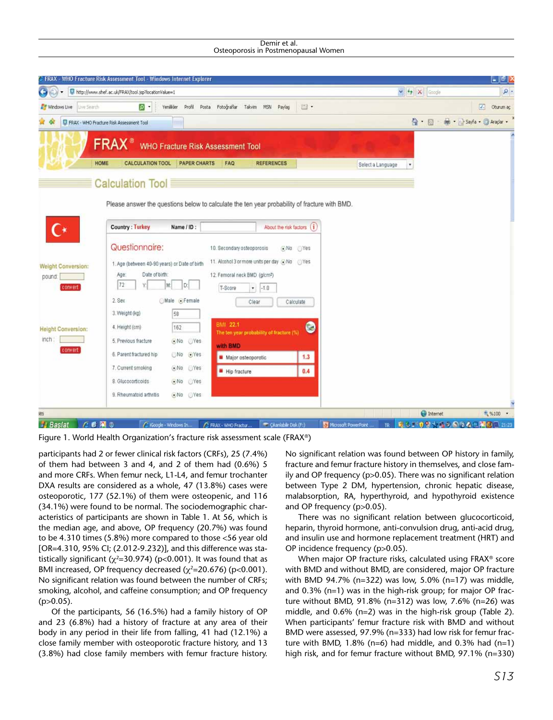Demir et al. Osteoporosis in Postmenopausal Women

| G                                   | http://www.shef.ac.uk/FRAX/tool.jsp?locationValue=1                                               | $\vee$ $\leftrightarrow$ $\times$ Google<br>$\rho$ . |
|-------------------------------------|---------------------------------------------------------------------------------------------------|------------------------------------------------------|
| Windows Live<br>Live Search         | r  Q<br>Venilikler Profil Posta Fotoğraflar Takvim<br>E ·<br>MSN Paylaş                           | / Oburum aç                                          |
|                                     | FRAX - WHO Fracture Risk Assessment Tool                                                          | A · 同 · 删 · isyfa · C Aradar ·                       |
|                                     | <b>FRAX</b><br><b>WHO Fracture Risk Assessment Tool</b>                                           |                                                      |
|                                     | HOME<br><b>CALCULATION TOOL</b><br><b>PAPER CHARTS</b><br>FAQ<br><b>REFERENCES</b>                | Select a Language                                    |
|                                     | Calculation Tool                                                                                  |                                                      |
|                                     |                                                                                                   |                                                      |
|                                     | Please answer the questions below to calculate the ten year probability of fracture with BMD.     |                                                      |
|                                     |                                                                                                   |                                                      |
|                                     | About the risk factors (i)<br><b>Country: Turkey</b><br>Name / ID:                                |                                                      |
|                                     |                                                                                                   |                                                      |
|                                     | Questionnaire:<br>10. Secondary osteoporosis<br>$\bullet$ No Yes                                  |                                                      |
|                                     | 11. Alcohol 3 or more units per day (+)No (-)Yes<br>1. Age (between 40-90 years) or Date of birth |                                                      |
| <b>Weight Conversion:</b><br>pound: | Date of birth:<br>12. Femoral neck BMD (g/cm2)<br>Age:                                            |                                                      |
| convert                             | 72<br>D:<br>M:<br>T-Score<br>٠.<br>$-1.0$                                                         |                                                      |
|                                     | 2. Sex<br>Male Female<br>Clear<br>Calculate                                                       |                                                      |
|                                     | 3. Weight (kg)<br>58                                                                              |                                                      |
|                                     | <b>BMI 22.1</b><br>4. Height (cm)<br>162                                                          |                                                      |
| <b>Height Conversion:</b><br>inch:  | c<br>The ten year probability of fracture (%)<br>5. Previous fracture<br>$\odot$ No $\odot$ Yes   |                                                      |
| convert                             | with BMD<br>6. Parent fractured hip<br>No Ves                                                     |                                                      |
|                                     | 1.3<br>Major osteoporotic<br>7. Current smoking                                                   |                                                      |
|                                     | $\odot$ No Yes<br>0.4<br>Hip fracture<br>8. Glucocorticoids                                       |                                                      |
|                                     | $\odot$ No Yes<br>9. Rheumatoid arthritis<br>$\odot$ No $\odot$ Yes                               |                                                      |

Figure 1. World Health Organization's fracture risk assessment scale (FRAX®)

participants had 2 or fewer clinical risk factors (CRFs), 25 (7.4%) of them had between 3 and 4, and 2 of them had (0.6%) 5 and more CRFs. When femur neck, L1-L4, and femur trochanter DXA results are considered as a whole, 47 (13.8%) cases were osteoporotic, 177 (52.1%) of them were osteopenic, and 116 (34.1%) were found to be normal. The sociodemographic characteristics of participants are shown in Table 1. At 56, which is the median age, and above, OP frequency (20.7%) was found to be 4.310 times (5.8%) more compared to those <56 year old [OR=4.310, 95% CI; (2.012-9.232)], and this difference was statistically significant ( $\chi^2$ =30.974) (p<0.001). It was found that as BMI increased, OP frequency decreased ( $\chi^2$ =20.676) (p<0.001). No significant relation was found between the number of CRFs; smoking, alcohol, and caffeine consumption; and OP frequency  $(p>0.05)$ .

Of the participants, 56 (16.5%) had a family history of OP and 23 (6.8%) had a history of fracture at any area of their body in any period in their life from falling, 41 had (12.1%) a close family member with osteoporotic fracture history, and 13 (3.8%) had close family members with femur fracture history.

No significant relation was found between OP history in family, fracture and femur fracture history in themselves, and close family and OP frequency (p>0.05). There was no significant relation between Type 2 DM, hypertension, chronic hepatic disease, malabsorption, RA, hyperthyroid, and hypothyroid existence and OP frequency (p>0.05).

There was no significant relation between glucocorticoid, heparin, thyroid hormone, anti-convulsion drug, anti-acid drug, and insulin use and hormone replacement treatment (HRT) and OP incidence frequency (p>0.05).

When major OP fracture risks, calculated using FRAX® score with BMD and without BMD, are considered, major OP fracture with BMD 94.7% (n=322) was low, 5.0% (n=17) was middle, and 0.3% (n=1) was in the high-risk group; for major OP fracture without BMD, 91.8% (n=312) was low, 7.6% (n=26) was middle, and 0.6% (n=2) was in the high-risk group (Table 2). When participants' femur fracture risk with BMD and without BMD were assessed, 97.9% (n=333) had low risk for femur fracture with BMD,  $1.8\%$  (n=6) had middle, and 0.3% had (n=1) high risk, and for femur fracture without BMD, 97.1% (n=330)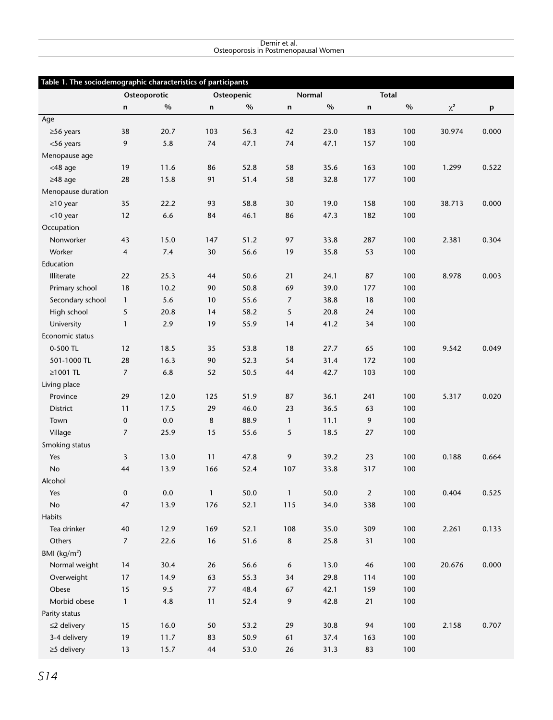#### Demir et al. Osteoporosis in Postmenopausal Women

|                    | Table 1. The sociodemographic characteristics of participants |         |              |      |                |      |                |      |          |                           |
|--------------------|---------------------------------------------------------------|---------|--------------|------|----------------|------|----------------|------|----------|---------------------------|
|                    | Osteoporotic                                                  |         | Osteopenic   |      | Normal         |      | <b>Total</b>   |      |          |                           |
|                    | n                                                             | $\%$    | n            | $\%$ | n              | $\%$ | n              | $\%$ | $\chi^2$ | $\boldsymbol{\mathsf{p}}$ |
| Age                |                                                               |         |              |      |                |      |                |      |          |                           |
| $\geq$ 56 years    | 38                                                            | 20.7    | 103          | 56.3 | 42             | 23.0 | 183            | 100  | 30.974   | 0.000                     |
| <56 years          | 9                                                             | 5.8     | 74           | 47.1 | 74             | 47.1 | 157            | 100  |          |                           |
| Menopause age      |                                                               |         |              |      |                |      |                |      |          |                           |
| $<$ 48 age         | 19                                                            | 11.6    | 86           | 52.8 | 58             | 35.6 | 163            | 100  | 1.299    | 0.522                     |
| $\geq$ 48 age      | 28                                                            | 15.8    | 91           | 51.4 | 58             | 32.8 | 177            | 100  |          |                           |
| Menopause duration |                                                               |         |              |      |                |      |                |      |          |                           |
| $\geq$ 10 year     | 35                                                            | 22.2    | 93           | 58.8 | 30             | 19.0 | 158            | 100  | 38.713   | 0.000                     |
| <10 year           | 12                                                            | 6.6     | 84           | 46.1 | 86             | 47.3 | 182            | 100  |          |                           |
| Occupation         |                                                               |         |              |      |                |      |                |      |          |                           |
| Nonworker          | 43                                                            | 15.0    | 147          | 51.2 | 97             | 33.8 | 287            | 100  | 2.381    | 0.304                     |
| Worker             | 4                                                             | 7.4     | 30           | 56.6 | 19             | 35.8 | 53             | 100  |          |                           |
| Education          |                                                               |         |              |      |                |      |                |      |          |                           |
| Illiterate         | 22                                                            | 25.3    | 44           | 50.6 | 21             | 24.1 | 87             | 100  | 8.978    | 0.003                     |
| Primary school     | 18                                                            | 10.2    | 90           | 50.8 | 69             | 39.0 | 177            | 100  |          |                           |
| Secondary school   | $\mathbf{1}$                                                  | 5.6     | 10           | 55.6 | $\overline{7}$ | 38.8 | 18             | 100  |          |                           |
| High school        | 5                                                             | 20.8    | 14           | 58.2 | 5              | 20.8 | 24             | 100  |          |                           |
| University         | $\mathbf{1}$                                                  | 2.9     | 19           | 55.9 | 14             | 41.2 | 34             | 100  |          |                           |
| Economic status    |                                                               |         |              |      |                |      |                |      |          |                           |
| 0-500 TL           | 12                                                            | 18.5    | 35           | 53.8 | 18             | 27.7 | 65             | 100  | 9.542    | 0.049                     |
| 501-1000 TL        | 28                                                            | 16.3    | 90           | 52.3 | 54             | 31.4 | 172            | 100  |          |                           |
| ≥1001 TL           | $\overline{7}$                                                | 6.8     | 52           | 50.5 | 44             | 42.7 | 103            | 100  |          |                           |
| Living place       |                                                               |         |              |      |                |      |                |      |          |                           |
| Province           | 29                                                            | 12.0    | 125          | 51.9 | 87             | 36.1 | 241            | 100  | 5.317    | 0.020                     |
| District           | 11                                                            | 17.5    | 29           | 46.0 | 23             | 36.5 | 63             | 100  |          |                           |
| Town               | $\mathbf 0$                                                   | 0.0     | 8            | 88.9 | $\mathbf{1}$   | 11.1 | 9              | 100  |          |                           |
| Village            | $\overline{7}$                                                | 25.9    | 15           | 55.6 | 5              | 18.5 | 27             | 100  |          |                           |
| Smoking status     |                                                               |         |              |      |                |      |                |      |          |                           |
| Yes                | 3                                                             | 13.0    | 11           | 47.8 | 9              | 39.2 | 23             | 100  | 0.188    | 0.664                     |
| <b>No</b>          | 44                                                            | 13.9    | 166          | 52.4 | 107            | 33.8 | 317            | 100  |          |                           |
| Alcohol            |                                                               |         |              |      |                |      |                |      |          |                           |
| Yes                | $\mathbf 0$                                                   | $0.0\,$ | $\mathbf{1}$ | 50.0 | $\mathbf{1}$   | 50.0 | $\overline{2}$ | 100  | 0.404    | 0.525                     |
| No                 | 47                                                            | 13.9    | 176          | 52.1 | 115            | 34.0 | 338            | 100  |          |                           |
| Habits             |                                                               |         |              |      |                |      |                |      |          |                           |
| Tea drinker        | 40                                                            | 12.9    | 169          | 52.1 | 108            | 35.0 | 309            | 100  | 2.261    | 0.133                     |
| Others             | $\overline{7}$                                                | 22.6    | $16$         | 51.6 | 8              | 25.8 | 31             | 100  |          |                           |
| BMI $(kg/m2)$      |                                                               |         |              |      |                |      |                |      |          |                           |
| Normal weight      | 14                                                            | 30.4    | 26           | 56.6 | 6              | 13.0 | 46             | 100  | 20.676   | 0.000                     |
| Overweight         | 17                                                            | 14.9    | 63           | 55.3 | 34             | 29.8 | 114            | 100  |          |                           |
| Obese              | 15                                                            | 9.5     | 77           | 48.4 | 67             | 42.1 | 159            | 100  |          |                           |
| Morbid obese       | $\mathbf{1}$                                                  | $4.8\,$ | 11           | 52.4 | 9              | 42.8 | 21             | 100  |          |                           |
| Parity status      |                                                               |         |              |      |                |      |                |      |          |                           |
| $\leq$ 2 delivery  | 15                                                            | 16.0    | 50           | 53.2 | 29             | 30.8 | 94             | 100  | 2.158    | 0.707                     |
| 3-4 delivery       | $19$                                                          | 11.7    | 83           | 50.9 | 61             | 37.4 | 163            | 100  |          |                           |
| $\geq$ 5 delivery  | 13                                                            | 15.7    | 44           | 53.0 | 26             | 31.3 | 83             | 100  |          |                           |
|                    |                                                               |         |              |      |                |      |                |      |          |                           |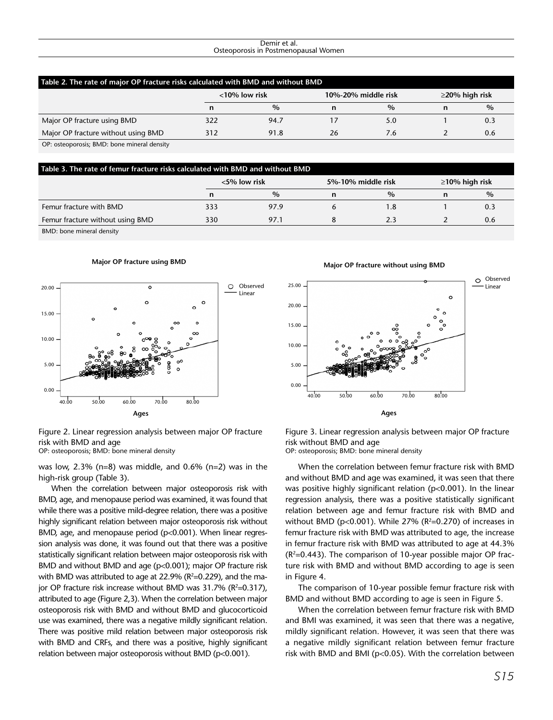#### Demir et al. Osteoporosis in Postmenopausal Women

| Table 2. The rate of major OP fracture risks calculated with BMD and without BMD |                  |      |    |                     |                      |      |  |  |
|----------------------------------------------------------------------------------|------------------|------|----|---------------------|----------------------|------|--|--|
|                                                                                  | $<$ 10% low risk |      |    | 10%-20% middle risk | $\geq$ 20% high risk |      |  |  |
|                                                                                  | n                | $\%$ | n  | $\%$                |                      | $\%$ |  |  |
| Major OP fracture using BMD                                                      | 322              | 94.7 | 17 | 5.0                 |                      | 0.3  |  |  |
| Major OP fracture without using BMD                                              | 312              | 91.8 | 26 | 7.6                 |                      | 0.6  |  |  |
| OP: osteoporosis; BMD: bone mineral density                                      |                  |      |    |                     |                      |      |  |  |

| Table 3. The rate of femur fracture risks calculated with BMD and without BMD |     |                 |   |                    |                      |      |  |  |  |
|-------------------------------------------------------------------------------|-----|-----------------|---|--------------------|----------------------|------|--|--|--|
|                                                                               |     | $<$ 5% low risk |   | 5%-10% middle risk | $\geq$ 10% high risk |      |  |  |  |
|                                                                               | n   | $\%$            | n | $\%$               |                      | $\%$ |  |  |  |
| Femur fracture with BMD                                                       | 333 | 97.9            |   | 1.8                |                      | 0.3  |  |  |  |
| Femur fracture without using BMD                                              | 330 | 97.1            |   | 2.3                |                      | 0.6  |  |  |  |
| <b>DMD</b> , hono minoral doncity                                             |     |                 |   |                    |                      |      |  |  |  |

BMD: bone mineral density

#### **Major OP fracture using BMD**



Figure 2. Linear regression analysis between major OP fracture risk with BMD and age OP: osteoporosis; BMD: bone mineral density

was low, 2.3% (n=8) was middle, and 0.6% (n=2) was in the high-risk group (Table 3).

When the correlation between major osteoporosis risk with BMD, age, and menopause period was examined, it was found that while there was a positive mild-degree relation, there was a positive highly significant relation between major osteoporosis risk without BMD, age, and menopause period (p<0.001). When linear regression analysis was done, it was found out that there was a positive statistically significant relation between major osteoporosis risk with BMD and without BMD and age (p<0.001); major OP fracture risk with BMD was attributed to age at 22.9% ( $R^2$ =0.229), and the major OP fracture risk increase without BMD was  $31.7\%$  (R<sup>2</sup>=0.317), attributed to age (Figure 2,3). When the correlation between major osteoporosis risk with BMD and without BMD and glucocorticoid use was examined, there was a negative mildly significant relation. There was positive mild relation between major osteoporosis risk with BMD and CRFs, and there was a positive, highly significant relation between major osteoporosis without BMD (p<0.001).

#### **Major OP fracture without using BMD**



Figure 3. Linear regression analysis between major OP fracture risk without BMD and age OP: osteoporosis; BMD: bone mineral density

When the correlation between femur fracture risk with BMD and without BMD and age was examined, it was seen that there was positive highly significant relation (p<0.001). In the linear regression analysis, there was a positive statistically significant relation between age and femur fracture risk with BMD and without BMD ( $p<0.001$ ). While 27% ( $R<sup>2</sup>=0.270$ ) of increases in femur fracture risk with BMD was attributed to age, the increase in femur fracture risk with BMD was attributed to age at 44.3%  $(R<sup>2</sup>=0.443)$ . The comparison of 10-year possible major OP fracture risk with BMD and without BMD according to age is seen in Figure 4.

The comparison of 10-year possible femur fracture risk with BMD and without BMD according to age is seen in Figure 5.

When the correlation between femur fracture risk with BMD and BMI was examined, it was seen that there was a negative, mildly significant relation. However, it was seen that there was a negative mildly significant relation between femur fracture risk with BMD and BMI (p<0.05). With the correlation between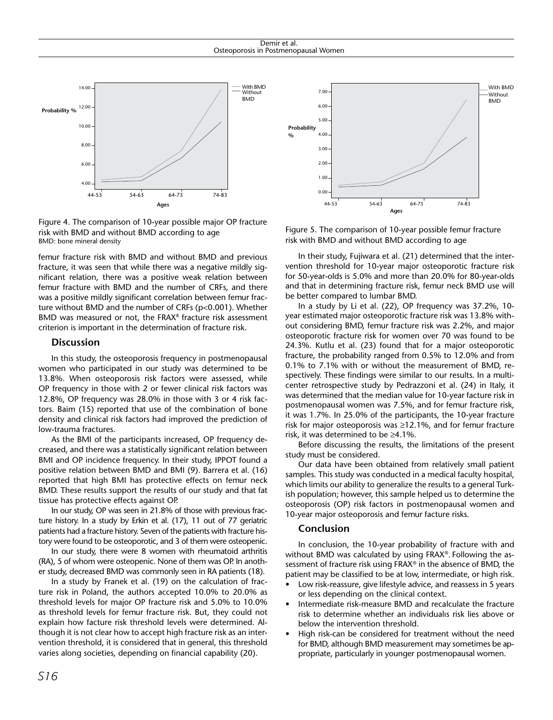

Figure 4. The comparison of 10-year possible major OP fracture risk with BMD and without BMD according to age BMD: bone mineral density

femur fracture risk with BMD and without BMD and previous fracture, it was seen that while there was a negative mildly significant relation, there was a positive weak relation between femur fracture with BMD and the number of CRFs, and there was a positive mildly significant correlation between femur fracture without BMD and the number of CRFs (p<0.001). Whether BMD was measured or not, the FRAX<sup>R</sup> fracture risk assessment criterion is important in the determination of fracture risk.

#### **Discussion**

In this study, the osteoporosis frequency in postmenopausal women who participated in our study was determined to be 13.8%. When osteoporosis risk factors were assessed, while OP frequency in those with 2 or fewer clinical risk factors was 12.8%, OP frequency was 28.0% in those with 3 or 4 risk factors. Baim (15) reported that use of the combination of bone density and clinical risk factors had improved the prediction of low-trauma fractures.

As the BMI of the participants increased, OP frequency decreased, and there was a statistically significant relation between BMI and OP incidence frequency. In their study, IPPOT found a positive relation between BMD and BMI (9). Barrera et al. (16) reported that high BMI has protective effects on femur neck BMD. These results support the results of our study and that fat tissue has protective effects against OP.

In our study, OP was seen in 21.8% of those with previous fracture history. In a study by Erkin et al. (17), 11 out of 77 geriatric patients had a fracture history. Seven of the patients with fracture history were found to be osteoporotic, and 3 of them were osteopenic.

In our study, there were 8 women with [rheumatoid arthritis](http://tureng.com/search/rheumatoid%20arthritis)  (RA), 5 of whom were osteopenic. None of them was OP. In another study, decreased BMD was commonly seen in RA patients (18).

In a study by Franek et al. (19) on the calculation of fracture risk in Poland, the authors accepted 10.0% to 20.0% as threshold levels for major OP fracture risk and 5.0% to 10.0% as threshold levels for femur fracture risk. But, they could not explain how facture risk threshold levels were determined. Although it is not clear how to accept high fracture risk as an intervention threshold, it is considered that in general, this threshold varies along societies, depending on financial capability (20).



Figure 5. The comparison of 10-year possible femur fracture risk with BMD and without BMD according to age

In their study, Fujiwara et al. (21) determined that the intervention threshold for 10-year major osteoporotic fracture risk for 50-year-olds is 5.0% and more than 20.0% for 80-year-olds and that in determining fracture risk, femur neck BMD use will be better compared to lumbar BMD.

In a study by Li et al. (22), OP frequency was 37.2%, 10 year estimated major osteoporotic fracture risk was 13.8% without considering BMD, femur fracture risk was 2.2%, and major osteoporotic fracture risk for women over 70 was found to be 24.3%. Kutlu et al. (23) found that for a major osteoporotic fracture, the probability ranged from 0.5% to 12.0% and from 0.1% to 7.1% with or without the measurement of BMD, respectively. These findings were similar to our results. In a multicenter retrospective study by Pedrazzoni et al. (24) in Italy, it was determined that the median value for 10-year facture risk in postmenopausal women was 7.5%, and for femur fracture risk, it was 1.7%. In 25.0% of the participants, the 10-year fracture risk for major osteoporosis was ≥12.1%, and for femur fracture risk, it was determined to be ≥4.1%.

Before discussing the results, the limitations of the present study must be considered.

Our data have been obtained from relatively small patient samples. This study was conducted in a medical faculty hospital, which limits our ability to generalize the results to a general Turkish population; however, this sample helped us to determine the osteoporosis (OP) risk factors in postmenopausal women and 10-year major osteoporosis and femur facture risks.

## **Conclusion**

In conclusion, the 10-year probability of fracture with and without BMD was calculated by using FRAX®. Following the assessment of fracture risk using FRAX® in the absence of BMD, the patient may be classified to be at low, intermediate, or high risk.

- Low risk-reassure, give lifestyle advice, and reassess in 5 years or less depending on the clinical context.
- Intermediate risk-measure BMD and recalculate the fracture risk to determine whether an individualis risk lies above or below the intervention threshold.
- High risk-can be considered for treatment without the need for BMD, although BMD measurement may sometimes be appropriate, particularly in younger postmenopausal women.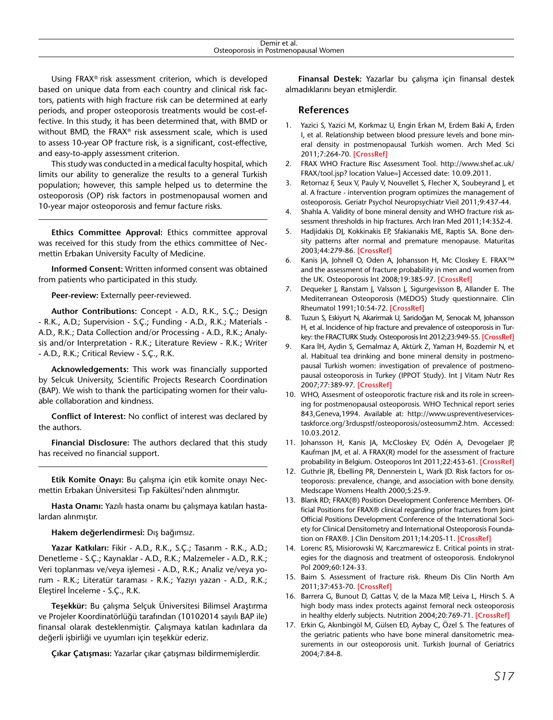Using FRAX® risk assessment criterion, which is developed based on unique data from each country and clinical risk factors, patients with high fracture risk can be determined at early periods, and proper osteoporosis treatments would be cost-effective. In this study, it has been determined that, with BMD or without BMD, the FRAX® risk assessment scale, which is used to assess 10-year OP fracture risk, is a significant, cost-effective, and easy-to-apply assessment criterion.

This study was conducted in a medical faculty hospital, which limits our ability to generalize the results to a general Turkish population; however, this sample helped us to determine the osteoporosis (OP) risk factors in postmenopausal women and 10-year major osteoporosis and femur facture risks.

**Ethics Committee Approval:** Ethics committee approval was received for this study from the ethics committee of Necmettin Erbakan University Faculty of Medicine.

**Informed Consent:** Written informed consent was obtained from patients who participated in this study.

**Peer-review:** Externally peer-reviewed.

**Author Contributions:** Concept - A.D., R.K., S.Ç.; Design - R.K., A.D.; Supervision - S.Ç.; Funding - A.D., R.K.; Materials - A.D., R.K.; Data Collection and/or Processing - A.D., R.K.; Analysis and/or Interpretation - R.K.; Literature Review - R.K.; Writer - A.D., R.K.; Critical Review - S.Ç., R.K.

**Acknowledgements:** This work was financially supported by Selcuk University, Scientific Projects Research Coordination (BAP). We wish to thank the participating women for their valuable collaboration and kindness.

**Conflict of Interest:** No conflict of interest was declared by the authors.

**Financial Disclosure:** The authors declared that this study has received no financial support.

**Etik Komite Onayı:** Bu çalışma için etik komite onayı Necmettin Erbakan Üniversitesi Tıp Fakültesi'nden alınmıştır.

**Hasta Onamı:** Yazılı hasta onamı bu çalışmaya katılan hastalardan alınmıştır.

**Hakem değerlendirmesi:** Dış bağımsız.

**Yazar Katkıları:** Fikir - A.D., R.K., S.Ç.; Tasarım - R.K., A.D.; Denetleme - S.Ç.; Kaynaklar - A.D., R.K.; Malzemeler - A.D., R.K.; Veri toplanması ve/veya işlemesi - A.D., R.K.; Analiz ve/veya yorum - R.K.; Literatür taraması - R.K.; Yazıyı yazan - A.D., R.K.; Eleştirel İnceleme - S.Ç., R.K.

**Teşekkür:** Bu çalışma Selçuk Üniversitesi Bilimsel Araştırma ve Projeler Koordinatörlüğü tarafından (10102014 sayılı BAP ile) finansal olarak desteklenmiştir. Çalışmaya katılan kadınlara da değerli işbirliği ve uyumları için teşekkür ederiz.

**Çıkar Çatışması:** Yazarlar çıkar çatışması bildirmemişlerdir.

**Finansal Destek:** Yazarlar bu çalışma için finansal destek almadıklarını beyan etmişlerdir.

# **References**

- 1. Yazici S, Yazici M, Korkmaz U, Engin Erkan M, Erdem Baki A, Erden I, et al. Relationship between blood pressure levels and bone mineral density in postmenopausal Turkish women. Arch Med Sci 2011;7:264-70. **[\[CrossRef\]](http://dx.doi.org/10.5114/aoms.2011.22077)**
- 2. FRAX WHO Fracture Risc Assessment Tool. http://www.shef.ac.uk/ FRAX/tool.jsp? location Value=] Accessed date: 10.09.2011.
- 3. Retornaz F, Seux V, Pauly V, Nouvellet S, Flecher X, Soubeyrand J, et al. A fracture - intervention program optimizes the management of osteoporosis. Geriatr Psychol Neuropsychiatr Vieil 2011;9:437-44.
- 4. Shahla A. Validity of bone mineral density and WHO fracture risk assessment thresholds in hip fractures. Arch Iran Med 2011;14:352-4.
- 5. Hadjidakis DJ, Kokkinakis EP, Sfakianakis ME, Raptis SA. Bone density patterns after normal and premature menopause. Maturitas 2003;44:279-86. **[[CrossRef](http://dx.doi.org/10.1016/S0378-5122(03)00040-9)]**
- 6. Kanis JA, Johnell O, Oden A, Johansson H, Mc Closkey E. FRAX™ and the assessment of fracture probability in men and women from the UK. Osteoporosis Int 2008;19:385-97. **[\[CrossRef\]](http://dx.doi.org/10.1007/s00198-007-0543-5)**
- 7. Dequeker J, Ranstam J, Valsson J, Sigurgevisson B, Allander E. The Mediterranean Osteoporosis (MEDOS) Study questionnaire. Clin Rheumatol 1991;10:54-72. **[[CrossRef\]](http://dx.doi.org/10.1007/BF02208034)**
- 8. Tuzun S, Eskiyurt N, Akarirmak U, Saridoğan M, Senocak M, Johansson H, et al. Incidence of hip fracture and prevalence of osteoporosis in Turkey: the FRACTURK Study. Osteoporosis Int 2012;23:949-55. **[[CrossRef](http://dx.doi.org/10.1007/s00198-011-1655-5)]**
- 9. Kara İH, Aydin S, Gemalmaz A, Aktürk Z, Yaman H, Bozdemir N, et al. Habitual tea drinking and bone mineral density in postmenopausal Turkish women: investigation of prevalence of postmenopausal osteoporosis in Turkey (IPPOT Study). Int J Vitam Nutr Res 2007;77:389-97. **[[CrossRef](http://dx.doi.org/10.1024/0300-9831.77.6.389)]**
- 10. WHO, Assesment of osteoporotic fracture risk and its role in screening for postmenopausal osteoporosis. WHO Technical report series 843,Geneva,1994. Available at: http://www.uspreventiveservicestaskforce.org/3rduspstf/osteoporosis/osteosumm2.htm. Accessed: 10.03.2012.
- 11. Johansson H, Kanis JA, McCloskey EV, Odén A, Devogelaer JP, Kaufman JM, et al. A FRAX(R) model for the assessment of fracture probability in Belgium. Osteoporos Int 2011;22:453-61. **[[CrossRef](http://dx.doi.org/10.1007/s00198-010-1218-1)]**
- 12. Guthrie JR, Ebelling PR, Dennerstein L, Wark JD. Risk factors for osteoporosis: prevalence, change, and association with bone density. Medscape Womens Health 2000;5:25-9.
- 13. Blank RD; FRAX(®) Position Development Conference Members. Official Positions for FRAX® clinical regarding prior fractures from Joint Official Positions Development Conference of the International Society for Clinical Densitometry and International Osteoporosis Foundation on FRAX®. J Clin Densitom 2011;14:205-11. **[\[CrossRef\]](http://dx.doi.org/10.1016/j.jocd.2011.05.009)**
- 14. Lorenc RS, Misiorowski W, Karczmarewicz E. Critical points in strategies for the diagnosis and treatment of osteoporosis. Endokrynol Pol 2009;60:124-33.
- 15. Baim S. Assessment of fracture risk. Rheum Dis Clin North Am 2011;37:453-70. **[[CrossRef](http://dx.doi.org/10.1016/j.rdc.2011.07.001)]**
- 16. Barrera G, Bunout D, Gattas V, de la Maza MP, Leiva L, Hirsch S. A high body mass index protects against femoral neck osteoporosis in healthy elderly subjects. Nutrition 2004;20:769-71. **[[CrossRef](http://dx.doi.org/10.1016/j.nut.2004.05.014)]**
- 17. Erkin G, Akınbingöl M, Gülsen ED, Aybay C, Özel S. The features of the geriatric patients who have bone mineral dansitometric measurements in our osteoporosis unit. Turkish Journal of Geriatrics 2004;7:84-8.